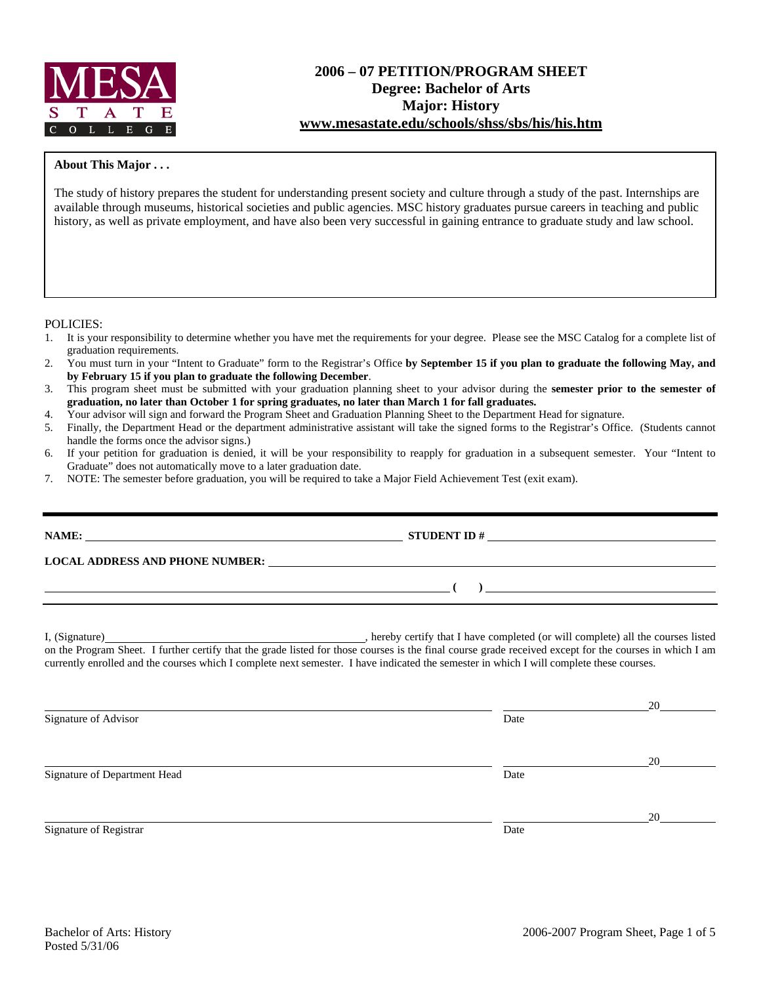

# **2006 – 07 PETITION/PROGRAM SHEET Degree: Bachelor of Arts Major: History www.mesastate.edu/schools/shss/sbs/his/his.htm**

### **About This Major . . .**

The study of history prepares the student for understanding present society and culture through a study of the past. Internships are available through museums, historical societies and public agencies. MSC history graduates pursue careers in teaching and public history, as well as private employment, and have also been very successful in gaining entrance to graduate study and law school.

#### POLICIES:

- 1. It is your responsibility to determine whether you have met the requirements for your degree. Please see the MSC Catalog for a complete list of graduation requirements.
- 2. You must turn in your "Intent to Graduate" form to the Registrar's Office **by September 15 if you plan to graduate the following May, and by February 15 if you plan to graduate the following December**.
- 3. This program sheet must be submitted with your graduation planning sheet to your advisor during the **semester prior to the semester of graduation, no later than October 1 for spring graduates, no later than March 1 for fall graduates.**
- 4. Your advisor will sign and forward the Program Sheet and Graduation Planning Sheet to the Department Head for signature.
- 5. Finally, the Department Head or the department administrative assistant will take the signed forms to the Registrar's Office. (Students cannot handle the forms once the advisor signs.)
- 6. If your petition for graduation is denied, it will be your responsibility to reapply for graduation in a subsequent semester. Your "Intent to Graduate" does not automatically move to a later graduation date.
- 7. NOTE: The semester before graduation, you will be required to take a Major Field Achievement Test (exit exam).

| NAME:<br><u> 1980 - Jan Stein Berlin, amerikan bisa di sebagai perang perang perang perang perang perang perang perang per</u> |  |
|--------------------------------------------------------------------------------------------------------------------------------|--|
| <b>LOCAL ADDRESS AND PHONE NUMBER:</b>                                                                                         |  |
|                                                                                                                                |  |
|                                                                                                                                |  |

I, (Signature) , hereby certify that I have completed (or will complete) all the courses listed on the Program Sheet. I further certify that the grade listed for those courses is the final course grade received except for the courses in which I am currently enrolled and the courses which I complete next semester. I have indicated the semester in which I will complete these courses.

|                              |      | 20 |
|------------------------------|------|----|
| Signature of Advisor         | Date |    |
|                              |      |    |
|                              |      | 20 |
| Signature of Department Head | Date |    |
|                              |      |    |
|                              |      | 20 |
| Signature of Registrar       | Date |    |
|                              |      |    |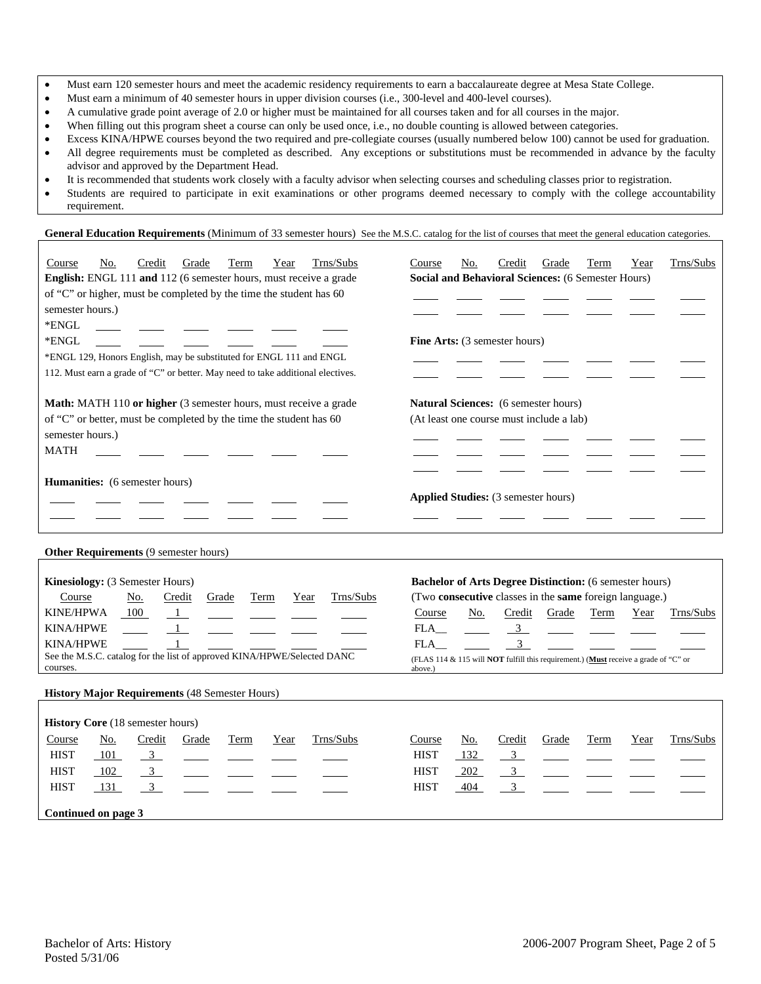- Must earn 120 semester hours and meet the academic residency requirements to earn a baccalaureate degree at Mesa State College.
- Must earn a minimum of 40 semester hours in upper division courses (i.e., 300-level and 400-level courses).
- A cumulative grade point average of 2.0 or higher must be maintained for all courses taken and for all courses in the major.
- When filling out this program sheet a course can only be used once, i.e., no double counting is allowed between categories.
- Excess KINA/HPWE courses beyond the two required and pre-collegiate courses (usually numbered below 100) cannot be used for graduation. • All degree requirements must be completed as described. Any exceptions or substitutions must be recommended in advance by the faculty advisor and approved by the Department Head.
- It is recommended that students work closely with a faculty advisor when selecting courses and scheduling classes prior to registration.
- Students are required to participate in exit examinations or other programs deemed necessary to comply with the college accountability requirement.

General Education Requirements (Minimum of 33 semester hours) See the M.S.C. catalog for the list of courses that meet the general education categories.

| Trns/Subs<br>Course<br>Credit<br><b>Term</b><br>No.<br>Grade<br>Year<br>English: ENGL 111 and 112 (6 semester hours, must receive a grade<br>of "C" or higher, must be completed by the time the student has 60<br>semester hours.)<br>*ENGL<br>*ENGL<br>*ENGL 129, Honors English, may be substituted for ENGL 111 and ENGL<br>112. Must earn a grade of "C" or better. May need to take additional electives. | Trns/Subs<br>Course<br>No.<br>Credit<br>Grade<br>Term<br>Year<br>Social and Behavioral Sciences: (6 Semester Hours)<br>Fine Arts: (3 semester hours)                                                                                                                                                                             |
|-----------------------------------------------------------------------------------------------------------------------------------------------------------------------------------------------------------------------------------------------------------------------------------------------------------------------------------------------------------------------------------------------------------------|----------------------------------------------------------------------------------------------------------------------------------------------------------------------------------------------------------------------------------------------------------------------------------------------------------------------------------|
| Math: MATH 110 or higher (3 semester hours, must receive a grade<br>of "C" or better, must be completed by the time the student has 60<br>semester hours.)<br><b>MATH</b>                                                                                                                                                                                                                                       | Natural Sciences: (6 semester hours)<br>(At least one course must include a lab)                                                                                                                                                                                                                                                 |
| Humanities: (6 semester hours)                                                                                                                                                                                                                                                                                                                                                                                  | Applied Studies: (3 semester hours)                                                                                                                                                                                                                                                                                              |
| Other Requirements (9 semester hours)<br>Kinesiology: (3 Semester Hours)<br>Course<br>Trns/Subs<br><u>No.</u><br>Credit<br>Grade<br>Term<br>Year<br><b>KINE/HPWA</b><br>100<br>KINA/HPWE<br>KINA/HPWE<br>See the M.S.C. catalog for the list of approved KINA/HPWE/Selected DANC<br>courses.                                                                                                                    | <b>Bachelor of Arts Degree Distinction:</b> (6 semester hours)<br>(Two consecutive classes in the same foreign language.)<br>Course<br>No.<br>Credit<br>Grade<br>Trns/Subs<br>Term<br>Year<br>FLA<br>$\frac{3}{2}$<br>3<br>FLA<br>(FLAS 114 & 115 will NOT fulfill this requirement.) (Must receive a grade of "C" or<br>above.) |
| <b>History Major Requirements (48 Semester Hours)</b><br><b>History Core (18 semester hours)</b>                                                                                                                                                                                                                                                                                                                |                                                                                                                                                                                                                                                                                                                                  |
| Trns/Subs<br>Credit<br>Course<br>No.<br>Grade<br>Term<br>Year<br><b>HIST</b><br>$\overline{\mathbf{3}}$<br>101<br><b>HIST</b><br>$\overline{\mathbf{3}}$<br>102<br>3<br><b>HIST</b><br>131<br>Continued on page 3                                                                                                                                                                                               | Trns/Subs<br>Credit<br>Course<br>Grade<br>Term<br>Year<br>No.<br><b>HIST</b><br>132<br>$\mathbf{3}$<br>3 <sup>7</sup><br><b>HIST</b><br>202<br>3<br><b>HIST</b><br>404                                                                                                                                                           |
|                                                                                                                                                                                                                                                                                                                                                                                                                 |                                                                                                                                                                                                                                                                                                                                  |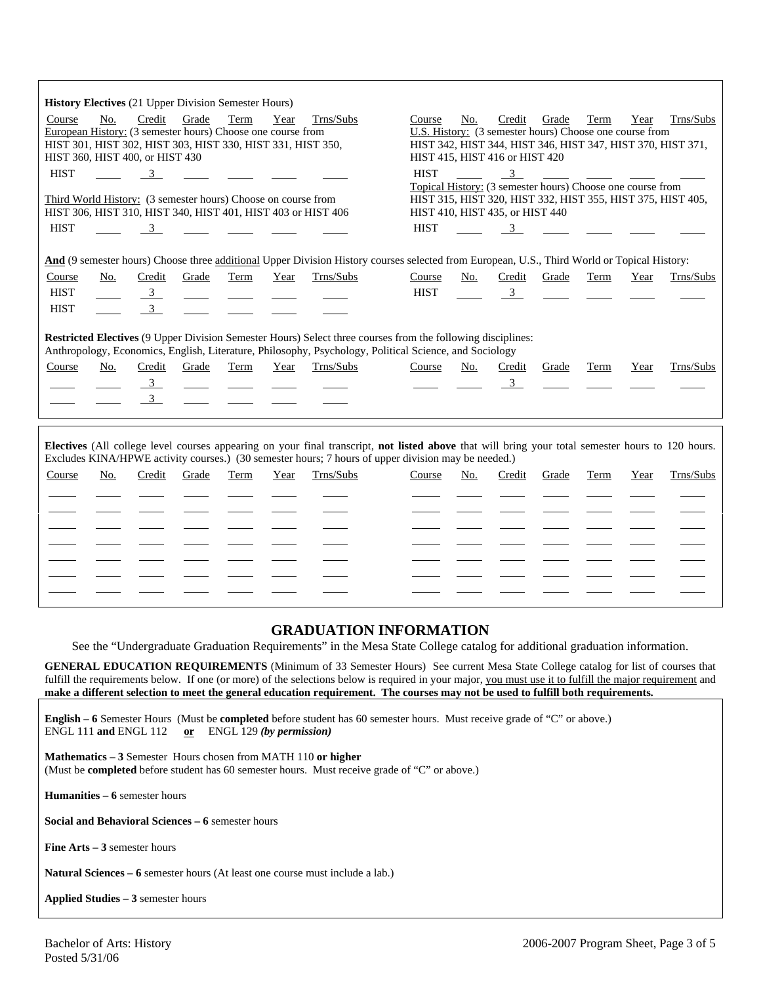|                                 |     |                                 | <b>History Electives</b> (21 Upper Division Semester Hours)   |      |      |                                                                                                                                                                                                                                                          |             |     |                                                                                       |       |      |      |                                                             |
|---------------------------------|-----|---------------------------------|---------------------------------------------------------------|------|------|----------------------------------------------------------------------------------------------------------------------------------------------------------------------------------------------------------------------------------------------------------|-------------|-----|---------------------------------------------------------------------------------------|-------|------|------|-------------------------------------------------------------|
| Course                          | No. | Credit                          | Grade                                                         | Term | Year | Trns/Subs                                                                                                                                                                                                                                                | Course      | No. | Credit                                                                                | Grade | Term | Year | Trns/Subs                                                   |
|                                 |     |                                 | European History: (3 semester hours) Choose one course from   |      |      |                                                                                                                                                                                                                                                          |             |     | U.S. History: (3 semester hours) Choose one course from                               |       |      |      |                                                             |
|                                 |     |                                 | HIST 301, HIST 302, HIST 303, HIST 330, HIST 331, HIST 350,   |      |      |                                                                                                                                                                                                                                                          |             |     | HIST 415, HIST 416 or HIST 420                                                        |       |      |      | HIST 342, HIST 344, HIST 346, HIST 347, HIST 370, HIST 371, |
| HIST 360, HIST 400, or HIST 430 |     |                                 |                                                               |      |      |                                                                                                                                                                                                                                                          |             |     |                                                                                       |       |      |      |                                                             |
| <b>HIST</b>                     |     | $\overline{3}$                  |                                                               |      |      |                                                                                                                                                                                                                                                          | <b>HIST</b> |     | $\overline{\mathbf{3}}$<br>Topical History: (3 semester hours) Choose one course from |       |      |      |                                                             |
|                                 |     |                                 | Third World History: (3 semester hours) Choose on course from |      |      |                                                                                                                                                                                                                                                          |             |     |                                                                                       |       |      |      | HIST 315, HIST 320, HIST 332, HIST 355, HIST 375, HIST 405, |
|                                 |     |                                 |                                                               |      |      | HIST 306, HIST 310, HIST 340, HIST 401, HIST 403 or HIST 406                                                                                                                                                                                             |             |     | HIST 410, HIST 435, or HIST 440                                                       |       |      |      |                                                             |
| <b>HIST</b>                     |     | $\overline{3}$                  |                                                               |      |      |                                                                                                                                                                                                                                                          | <b>HIST</b> |     | $\overline{3}$                                                                        |       |      |      |                                                             |
|                                 |     |                                 |                                                               |      |      |                                                                                                                                                                                                                                                          |             |     |                                                                                       |       |      |      |                                                             |
|                                 |     |                                 |                                                               |      |      | And (9 semester hours) Choose three additional Upper Division History courses selected from European, U.S., Third World or Topical History:                                                                                                              |             |     |                                                                                       |       |      |      |                                                             |
| Course                          | No. | Credit                          | Grade                                                         | Term | Year | Trns/Subs                                                                                                                                                                                                                                                | Course      | No. | Credit                                                                                | Grade | Term | Year | Trns/Subs                                                   |
| <b>HIST</b>                     |     | $\frac{3}{2}$                   | $\sim$ 100 $\mu$                                              |      |      |                                                                                                                                                                                                                                                          | <b>HIST</b> |     | $\overline{\mathbf{3}}$                                                               |       |      |      |                                                             |
| <b>HIST</b>                     |     | $\overline{\mathbf{3}}$         |                                                               |      |      |                                                                                                                                                                                                                                                          |             |     |                                                                                       |       |      |      |                                                             |
|                                 |     |                                 |                                                               |      |      |                                                                                                                                                                                                                                                          |             |     |                                                                                       |       |      |      |                                                             |
|                                 |     |                                 |                                                               |      |      | Restricted Electives (9 Upper Division Semester Hours) Select three courses from the following disciplines:                                                                                                                                              |             |     |                                                                                       |       |      |      |                                                             |
|                                 |     |                                 |                                                               |      |      | Anthropology, Economics, English, Literature, Philosophy, Psychology, Political Science, and Sociology                                                                                                                                                   |             |     |                                                                                       |       |      |      |                                                             |
| Course                          | No. | Credit                          | Grade                                                         | Term | Year | Trns/Subs                                                                                                                                                                                                                                                | Course      | No. | Credit                                                                                | Grade | Term | Year | Trns/Subs                                                   |
|                                 |     |                                 | $\overline{\phantom{a}}$                                      |      |      |                                                                                                                                                                                                                                                          |             |     | $\overline{\mathbf{3}}$                                                               |       |      |      |                                                             |
|                                 |     | $\frac{3}{2}$<br>$\overline{3}$ |                                                               |      |      |                                                                                                                                                                                                                                                          |             |     |                                                                                       |       |      |      |                                                             |
|                                 |     |                                 |                                                               |      |      |                                                                                                                                                                                                                                                          |             |     |                                                                                       |       |      |      |                                                             |
|                                 |     |                                 |                                                               |      |      |                                                                                                                                                                                                                                                          |             |     |                                                                                       |       |      |      |                                                             |
|                                 |     |                                 |                                                               |      |      | Electives (All college level courses appearing on your final transcript, not listed above that will bring your total semester hours to 120 hours.<br>Excludes KINA/HPWE activity courses.) (30 semester hours; 7 hours of upper division may be needed.) |             |     |                                                                                       |       |      |      |                                                             |
| Course                          | No. | Credit                          | Grade                                                         | Term | Year | Trns/Subs                                                                                                                                                                                                                                                | Course      | No. | Credit                                                                                | Grade | Term | Year | Trns/Subs                                                   |
|                                 |     |                                 |                                                               |      |      |                                                                                                                                                                                                                                                          |             |     |                                                                                       |       |      |      |                                                             |
|                                 |     |                                 |                                                               |      |      |                                                                                                                                                                                                                                                          |             |     |                                                                                       |       |      |      |                                                             |
|                                 |     |                                 |                                                               |      |      |                                                                                                                                                                                                                                                          |             |     |                                                                                       |       |      |      |                                                             |
|                                 |     |                                 |                                                               |      |      |                                                                                                                                                                                                                                                          |             |     |                                                                                       |       |      |      |                                                             |
|                                 |     |                                 |                                                               |      |      |                                                                                                                                                                                                                                                          |             |     |                                                                                       |       |      |      |                                                             |
|                                 |     |                                 |                                                               |      |      |                                                                                                                                                                                                                                                          |             |     |                                                                                       |       |      |      |                                                             |

# **GRADUATION INFORMATION**

See the "Undergraduate Graduation Requirements" in the Mesa State College catalog for additional graduation information.

**GENERAL EDUCATION REQUIREMENTS** (Minimum of 33 Semester Hours) See current Mesa State College catalog for list of courses that fulfill the requirements below. If one (or more) of the selections below is required in your major, you must use it to fulfill the major requirement and **make a different selection to meet the general education requirement. The courses may not be used to fulfill both requirements.**

**English – 6** Semester Hours (Must be **completed** before student has 60 semester hours. Must receive grade of "C" or above.) ENGL 111 **and** ENGL 112 **or** ENGL 129 *(by permission)*

**Mathematics – 3** Semester Hours chosen from MATH 110 **or higher** (Must be **completed** before student has 60 semester hours. Must receive grade of "C" or above.)

**Humanities – 6** semester hours

֦

**Social and Behavioral Sciences – 6** semester hours

**Fine Arts – 3** semester hours

**Natural Sciences – 6** semester hours (At least one course must include a lab.)

**Applied Studies – 3** semester hours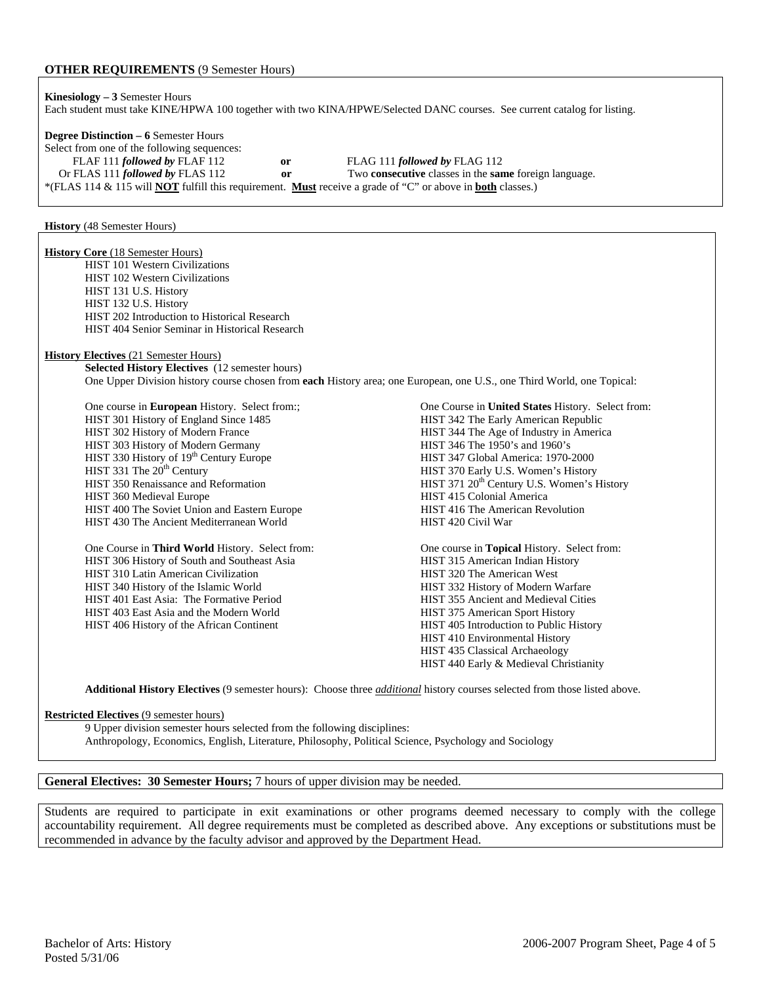### **OTHER REQUIREMENTS** (9 Semester Hours)

**Kinesiology – 3** Semester Hours Each student must take KINE/HPWA 100 together with two KINA/HPWE/Selected DANC courses. See current catalog for listing. **Degree Distinction – 6** Semester Hours Select from one of the following sequences: FLAF 111 *followed by* FLAF 112 **or** FLAG 111 *followed by* FLAG 112 Or FLAS 111 *followed by* FLAS 112 **or** Two **consecutive** classes in the **same** foreign language.

\*(FLAS 114 & 115 will **NOT** fulfill this requirement. **Must** receive a grade of "C" or above in **both** classes.)

**History** (48 Semester Hours)

**History Core** (18 Semester Hours) HIST 101 Western Civilizations HIST 102 Western Civilizations HIST 131 U.S. History HIST 132 U.S. History HIST 202 Introduction to Historical Research HIST 404 Senior Seminar in Historical Research **History Electives** (21 Semester Hours) **Selected History Electives** (12 semester hours) One Upper Division history course chosen from **each** History area; one European, one U.S., one Third World, one Topical: One course in **European** History. Select from:; One Course in **United States** History. Select from: HIST 301 History of England Since 1485 HIST 342 The Early American Republic HIST 302 History of Modern France HIST 344 The Age of Industry in America HIST 303 History of Modern Germany HIST 346 The 1950's and 1960's HIST 330 History of 19<sup>th</sup> Century Europe HIST 347 Global America: 1970-2000<br>HIST 331 The 20<sup>th</sup> Century Europe HIST 370 Early U.S. Women's History HIST 370 Early U.S. Women's History HIST 350 Renaissance and Reformation HIST 371 20<sup>th</sup> Century U.S. Women's History HIST 360 Medieval Europe HIST 415 Colonial America HIST 400 The Soviet Union and Eastern Europe HIST 416 The American Revolution HIST 430 The Ancient Mediterranean World HIST 420 Civil War One Course in **Third World** History. Select from: One course in **Topical** History. Select from: HIST 306 History of South and Southeast Asia **HIST 315 American Indian History** HIST 310 Latin American Civilization **HIST 320 The American West** HIST 340 History of the Islamic World HIST 332 History of Modern Warfare HIST 401 East Asia: The Formative Period HIST 355 Ancient and Medieval Cities HIST 403 East Asia and the Modern World HIST 375 American Sport History HIST 406 History of the African Continent HIST 405 Introduction to Public History HIST 410 Environmental History HIST 435 Classical Archaeology HIST 440 Early & Medieval Christianity **Additional History Electives** (9 semester hours): Choose three *additional* history courses selected from those listed above.

#### **Restricted Electives** (9 semester hours)

9 Upper division semester hours selected from the following disciplines:

Anthropology, Economics, English, Literature, Philosophy, Political Science, Psychology and Sociology

#### **General Electives: 30 Semester Hours;** 7 hours of upper division may be needed.

Students are required to participate in exit examinations or other programs deemed necessary to comply with the college accountability requirement. All degree requirements must be completed as described above. Any exceptions or substitutions must be recommended in advance by the faculty advisor and approved by the Department Head.